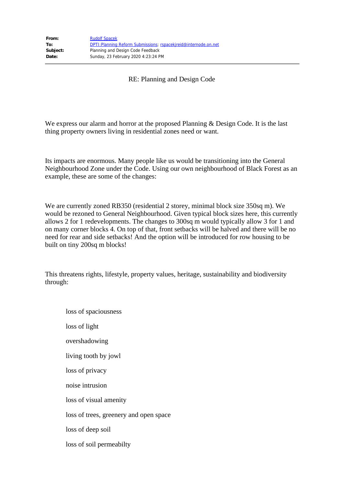RE: Planning and Design Code

We express our alarm and horror at the proposed Planning & Design Code. It is the last thing property owners living in residential zones need or want.

Its impacts are enormous. Many people like us would be transitioning into the General Neighbourhood Zone under the Code. Using our own neighbourhood of Black Forest as an example, these are some of the changes:

We are currently zoned RB350 (residential 2 storey, minimal block size 350sq m). We would be rezoned to General Neighbourhood. Given typical block sizes here, this currently allows 2 for 1 redevelopments. The changes to 300sq m would typically allow 3 for 1 and on many corner blocks 4. On top of that, front setbacks will be halved and there will be no need for rear and side setbacks! And the option will be introduced for row housing to be built on tiny 200sq m blocks!

This threatens rights, lifestyle, property values, heritage, sustainability and biodiversity through:

loss of spaciousness loss of light overshadowing living tooth by jowl loss of privacy noise intrusion loss of visual amenity loss of trees, greenery and open space loss of deep soil loss of soil permeabilty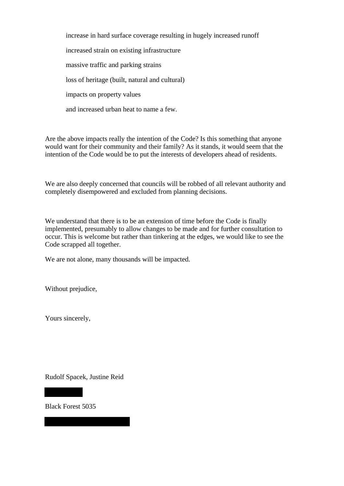increase in hard surface coverage resulting in hugely increased runoff increased strain on existing infrastructure massive traffic and parking strains loss of heritage (built, natural and cultural) impacts on property values and increased urban heat to name a few.

Are the above impacts really the intention of the Code? Is this something that anyone would want for their community and their family? As it stands, it would seem that the intention of the Code would be to put the interests of developers ahead of residents.

We are also deeply concerned that councils will be robbed of all relevant authority and completely disempowered and excluded from planning decisions.

We understand that there is to be an extension of time before the Code is finally implemented, presumably to allow changes to be made and for further consultation to occur. This is welcome but rather than tinkering at the edges, we would like to see the Code scrapped all together.

We are not alone, many thousands will be impacted.

Without prejudice,

Yours sincerely,

Rudolf Spacek, Justine Reid

Black Forest 5035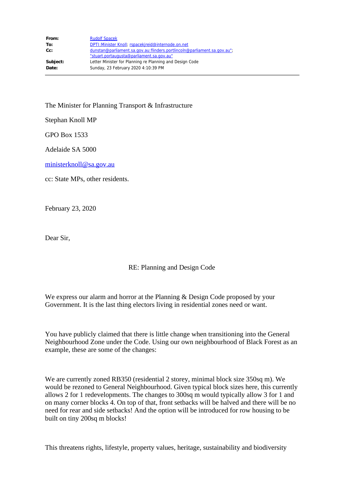| From:    | <b>Rudolf Spacek</b>                                                     |
|----------|--------------------------------------------------------------------------|
| To:      | DPTI: Minister Knoll; rspacekireid@internode.on.net                      |
| Cc:      | dunstan@parliament.sa.gov.au:flinders.portlincoln@parliament.sa.gov.au"; |
|          | "stuart.portaugusta@parliament.sa.gov.au"                                |
| Subject: | Letter Minister for Planning re Planning and Design Code                 |
| Date:    | Sunday, 23 February 2020 4:10:39 PM                                      |

The Minister for Planning Transport & Infrastructure

Stephan Knoll MP

GPO Box 1533

Adelaide SA 5000

ministerknoll@sa.gov.au

cc: State MPs, other residents.

February 23, 2020

Dear Sir,

## RE: Planning and Design Code

We express our alarm and horror at the Planning & Design Code proposed by your Government. It is the last thing electors living in residential zones need or want.

You have publicly claimed that there is little change when transitioning into the General Neighbourhood Zone under the Code. Using our own neighbourhood of Black Forest as an example, these are some of the changes:

We are currently zoned RB350 (residential 2 storey, minimal block size 350sq m). We would be rezoned to General Neighbourhood. Given typical block sizes here, this currently allows 2 for 1 redevelopments. The changes to 300sq m would typically allow 3 for 1 and on many corner blocks 4. On top of that, front setbacks will be halved and there will be no need for rear and side setbacks! And the option will be introduced for row housing to be built on tiny 200sq m blocks!

This threatens rights, lifestyle, property values, heritage, sustainability and biodiversity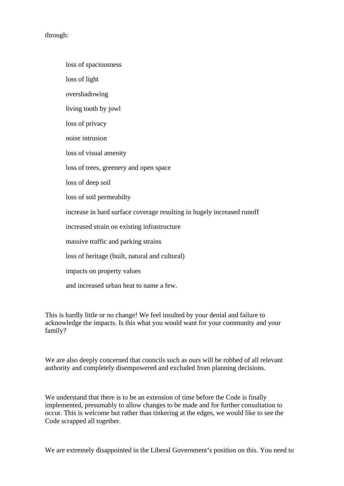through:

loss of spaciousness loss of light overshadowing living tooth by jowl loss of privacy noise intrusion loss of visual amenity loss of trees, greenery and open space loss of deep soil loss of soil permeabilty increase in hard surface coverage resulting in hugely increased runoff increased strain on existing infrastructure massive traffic and parking strains loss of heritage (built, natural and cultural) impacts on property values and increased urban heat to name a few.

This is hardly little or no change! We feel insulted by your denial and failure to acknowledge the impacts. Is this what you would want for your community and your family?

We are also deeply concerned that councils such as ours will be robbed of all relevant authority and completely disempowered and excluded from planning decisions.

We understand that there is to be an extension of time before the Code is finally implemented, presumably to allow changes to be made and for further consultation to occur. This is welcome but rather than tinkering at the edges, we would like to see the Code scrapped all together.

We are extremely disappointed in the Liberal Government's position on this. You need to